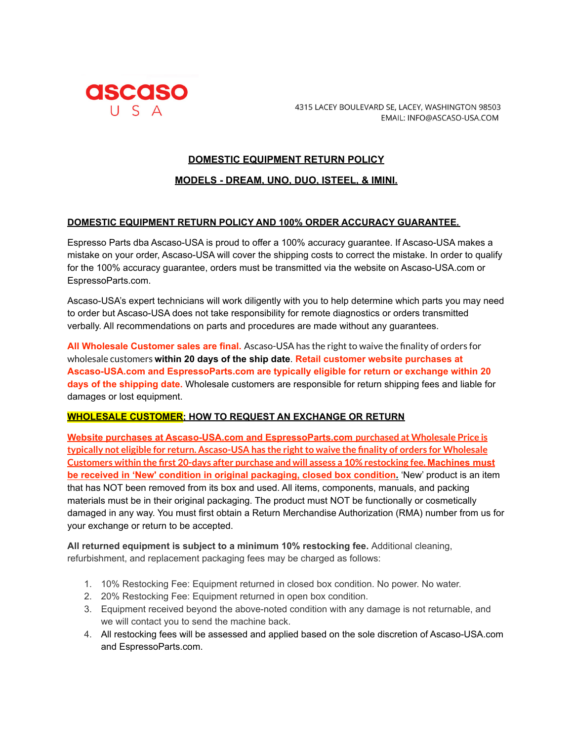

4315 LACEY BOULEVARD SE, LACEY, WASHINGTON 98503 EMAIL: INFO@ASCASO-USA.COM

## **DOMESTIC EQUIPMENT RETURN POLICY**

### **MODELS - DREAM, UNO, DUO, ISTEEL, & IMINI.**

#### **DOMESTIC EQUIPMENT RETURN POLICY AND 100% ORDER ACCURACY GUARANTEE.**

Espresso Parts dba Ascaso-USA is proud to offer a 100% accuracy guarantee. If Ascaso-USA makes a mistake on your order, Ascaso-USA will cover the shipping costs to correct the mistake. In order to qualify for the 100% accuracy guarantee, orders must be transmitted via the website on Ascaso-USA.com or EspressoParts.com.

Ascaso-USA's expert technicians will work diligently with you to help determine which parts you may need to order but Ascaso-USA does not take responsibility for remote diagnostics or orders transmitted verbally. All recommendations on parts and procedures are made without any guarantees.

**All Wholesale Customer sales are final.** Ascaso-USA has the right to waive the finality of orders for wholesale customers **within 20 days of the ship date**. **Retail customer website purchases at Ascaso-USA.com and EspressoParts.com are typically eligible for return or exchange within 20 days of the shipping date.** Wholesale customers are responsible for return shipping fees and liable for damages or lost equipment.

#### **WHOLESALE CUSTOMER; HOW TO REQUEST AN EXCHANGE OR RETURN**

**Website purchases at Ascaso-USA.com and EspressoParts.com purchased at Wholesale Price is typically not eligible for return. Ascaso-USA has the rightto waive the finality of orders for Wholesale Customers within the first 20-days after purchase and will assess a 10% restocking fee. Machines must be received in 'New' condition in original packaging, closed box condition.** 'New' product is an item that has NOT been removed from its box and used. All items, components, manuals, and packing materials must be in their original packaging. The product must NOT be functionally or cosmetically damaged in any way. You must first obtain a Return Merchandise Authorization (RMA) number from us for your exchange or return to be accepted.

**All returned equipment is subject to a minimum 10% restocking fee.** Additional cleaning, refurbishment, and replacement packaging fees may be charged as follows:

- 1. 10% Restocking Fee: Equipment returned in closed box condition. No power. No water.
- 2. 20% Restocking Fee: Equipment returned in open box condition.
- 3. Equipment received beyond the above-noted condition with any damage is not returnable, and we will contact you to send the machine back.
- 4. All restocking fees will be assessed and applied based on the sole discretion of Ascaso-USA.com and EspressoParts.com.